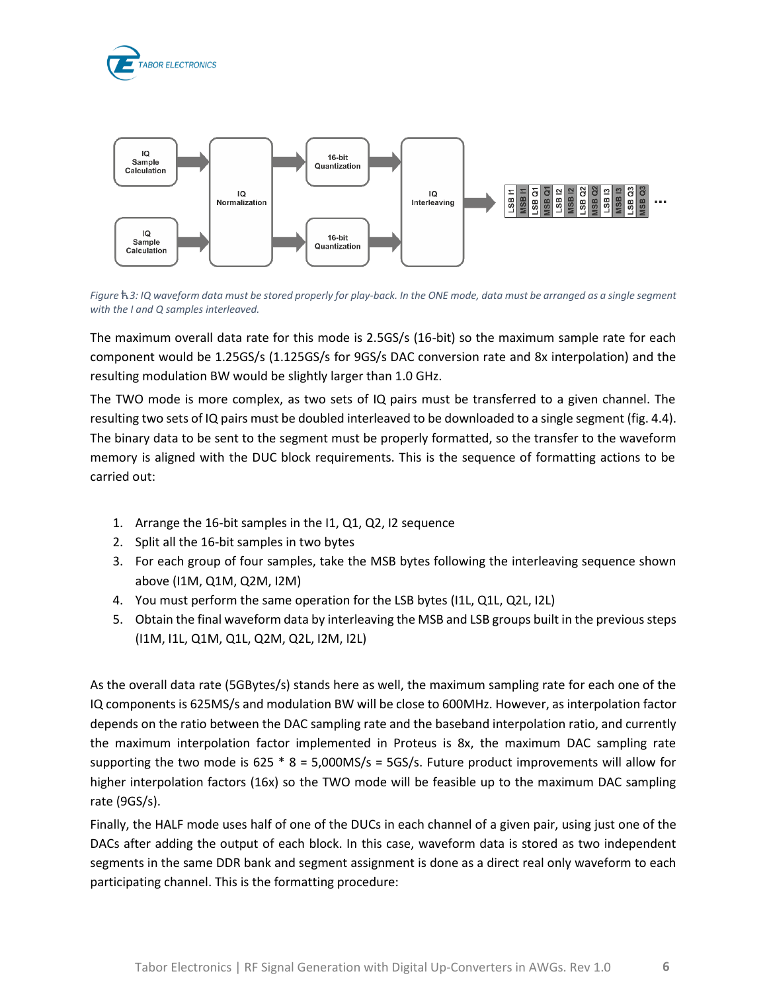



*Figure 4.3: IQ waveform data must be stored properly for play-back. In the ONE mode, data must be arranged as a single segment with the I and Q samples interleaved.* 

The maximum overall data rate for this mode is 2.5GS/s (16-bit) so the maximum sample rate for each component would be 1.25GS/s (1.125GS/s for 9GS/s DAC conversion rate and 8x interpolation) and the resulting modulation BW would be slightly larger than 1.0 GHz.

The TWO mode is more complex, as two sets of IQ pairs must be transferred to a given channel. The resulting two sets of IQ pairs must be doubled interleaved to be downloaded to a single segment (fig. 4.4). The binary data to be sent to the segment must be properly formatted, so the transfer to the waveform memory is aligned with the DUC block requirements. This is the sequence of formatting actions to be carried out:

- 1. Arrange the 16-bit samples in the I1, Q1, Q2, I2 sequence
- 2. Split all the 16-bit samples in two bytes
- 3. For each group of four samples, take the MSB bytes following the interleaving sequence shown above (I1M, Q1M, Q2M, I2M)
- 4. You must perform the same operation for the LSB bytes (I1L, Q1L, Q2L, I2L)
- 5. Obtain the final waveform data by interleaving the MSB and LSB groups built in the previous steps (I1M, I1L, Q1M, Q1L, Q2M, Q2L, I2M, I2L)

As the overall data rate (5GBytes/s) stands here as well, the maximum sampling rate for each one of the IQ components is 625MS/s and modulation BW will be close to 600MHz. However, as interpolation factor depends on the ratio between the DAC sampling rate and the baseband interpolation ratio, and currently the maximum interpolation factor implemented in Proteus is 8x, the maximum DAC sampling rate supporting the two mode is  $625 * 8 = 5,000MS/s = 5GS/s$ . Future product improvements will allow for higher interpolation factors (16x) so the TWO mode will be feasible up to the maximum DAC sampling rate (9GS/s).

Finally, the HALF mode uses half of one of the DUCs in each channel of a given pair, using just one of the DACs after adding the output of each block. In this case, waveform data is stored as two independent segments in the same DDR bank and segment assignment is done as a direct real only waveform to each participating channel. This is the formatting procedure: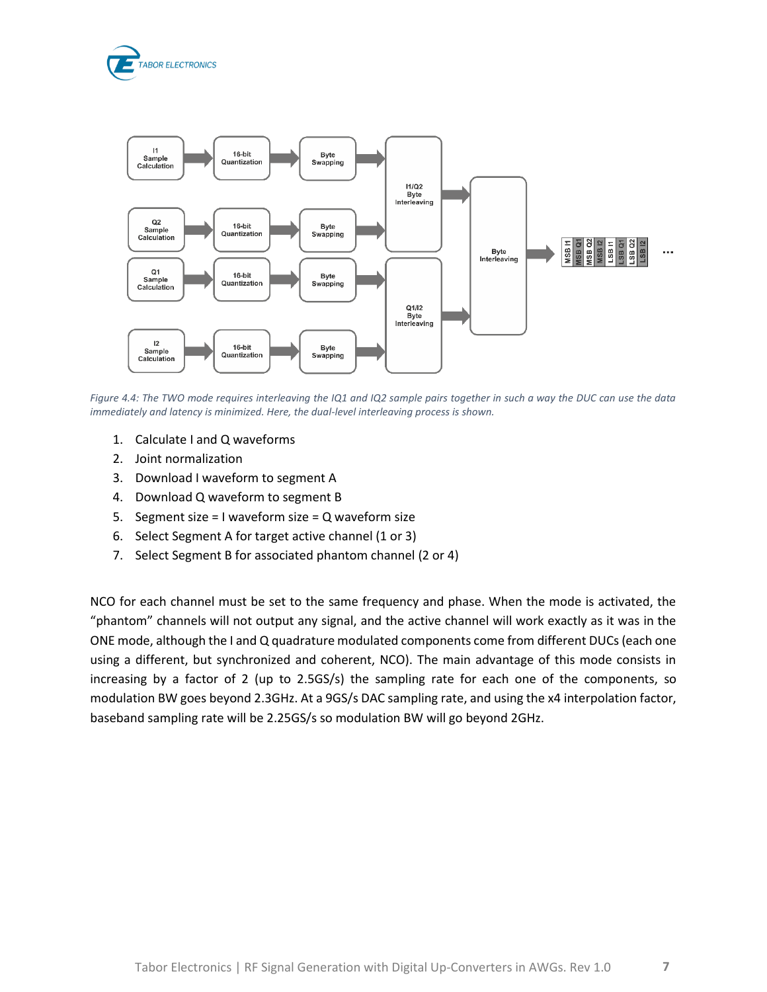



*Figure 4.4: The TWO mode requires interleaving the IQ1 and IQ2 sample pairs together in such a way the DUC can use the data immediately and latency is minimized. Here, the dual-level interleaving process is shown.*

- 1. Calculate I and Q waveforms
- 2. Joint normalization
- 3. Download I waveform to segment A
- 4. Download Q waveform to segment B
- 5. Segment size = I waveform size =  $Q$  waveform size
- 6. Select Segment A for target active channel (1 or 3)
- 7. Select Segment B for associated phantom channel (2 or 4)

NCO for each channel must be set to the same frequency and phase. When the mode is activated, the "phantom" channels will not output any signal, and the active channel will work exactly as it was in the ONE mode, although the I and Q quadrature modulated components come from different DUCs (each one using a different, but synchronized and coherent, NCO). The main advantage of this mode consists in increasing by a factor of 2 (up to 2.5GS/s) the sampling rate for each one of the components, so modulation BW goes beyond 2.3GHz. At a 9GS/s DAC sampling rate, and using the x4 interpolation factor, baseband sampling rate will be 2.25GS/s so modulation BW will go beyond 2GHz.